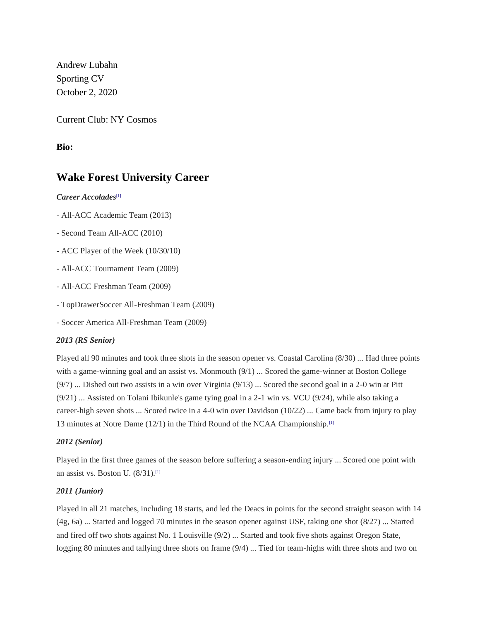Andrew Lubahn Sporting CV October 2, 2020

Current Club: NY Cosmos

**Bio:**

## **Wake Forest University Career**

*Career Accolades*[\[1\]](https://en.wikipedia.org/wiki/Andrew_Lubahn#cite_note-:0-1)

- All-ACC Academic Team (2013)
- Second Team All-ACC (2010)
- ACC Player of the Week (10/30/10)
- All-ACC Tournament Team (2009)
- All-ACC Freshman Team (2009)
- TopDrawerSoccer All-Freshman Team (2009)
- Soccer America All-Freshman Team (2009)

## *2013 (RS Senior)*

Played all 90 minutes and took three shots in the season opener vs. Coastal Carolina (8/30) ... Had three points with a game-winning goal and an assist vs. Monmouth (9/1) ... Scored the game-winner at Boston College (9/7) ... Dished out two assists in a win over Virginia (9/13) ... Scored the second goal in a 2-0 win at Pitt (9/21) ... Assisted on Tolani Ibikunle's game tying goal in a 2-1 win vs. VCU (9/24), while also taking a career-high seven shots ... Scored twice in a 4-0 win over Davidson (10/22) ... Came back from injury to play 13 minutes at Notre Dame (12/1) in the Third Round of the NCAA Championship.<sup>[\[1\]](https://en.wikipedia.org/wiki/Andrew_Lubahn#cite_note-:0-1)</sup>

## *2012 (Senior)*

Played in the first three games of the season before suffering a season-ending injury ... Scored one point with an assist vs. Boston U. (8/31).[\[1\]](https://en.wikipedia.org/wiki/Andrew_Lubahn#cite_note-:0-1)

## *2011 (Junior)*

Played in all 21 matches, including 18 starts, and led the Deacs in points for the second straight season with 14 (4g, 6a) ... Started and logged 70 minutes in the season opener against USF, taking one shot (8/27) ... Started and fired off two shots against No. 1 Louisville (9/2) ... Started and took five shots against Oregon State, logging 80 minutes and tallying three shots on frame (9/4) ... Tied for team-highs with three shots and two on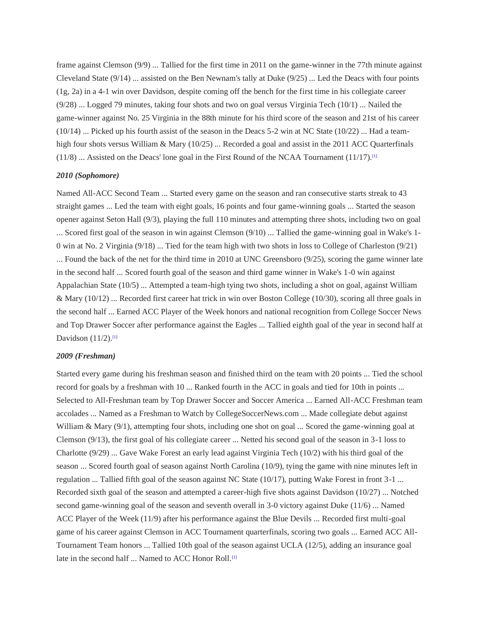frame against Clemson (9/9) ... Tallied for the first time in 2011 on the game-winner in the 77th minute against Cleveland State (9/14) ... assisted on the Ben Newnam's tally at Duke (9/25) ... Led the Deacs with four points (1g, 2a) in a 4-1 win over Davidson, despite coming off the bench for the first time in his collegiate career (9/28) ... Logged 79 minutes, taking four shots and two on goal versus Virginia Tech (10/1) ... Nailed the game-winner against No. 25 Virginia in the 88th minute for his third score of the season and 21st of his career  $(10/14)$  ... Picked up his fourth assist of the season in the Deacs 5-2 win at NC State  $(10/22)$  ... Had a teamhigh four shots versus William & Mary (10/25) ... Recorded a goal and assist in the 2011 ACC Quarterfinals  $(11/8)$  ... Assisted on the Deacs' lone goal in the First Round of the NCAA Tournament  $(11/17)$ .<sup>[\[1\]](https://en.wikipedia.org/wiki/Andrew_Lubahn#cite_note-:0-1)</sup>

#### *2010 (Sophomore)*

Named All-ACC Second Team ... Started every game on the season and ran consecutive starts streak to 43 straight games ... Led the team with eight goals, 16 points and four game-winning goals ... Started the season opener against Seton Hall (9/3), playing the full 110 minutes and attempting three shots, including two on goal ... Scored first goal of the season in win against Clemson (9/10) ... Tallied the game-winning goal in Wake's 1- 0 win at No. 2 Virginia (9/18) ... Tied for the team high with two shots in loss to College of Charleston (9/21) ... Found the back of the net for the third time in 2010 at UNC Greensboro (9/25), scoring the game winner late in the second half ... Scored fourth goal of the season and third game winner in Wake's 1-0 win against Appalachian State (10/5) ... Attempted a team-high tying two shots, including a shot on goal, against William & Mary (10/12) ... Recorded first career hat trick in win over Boston College (10/30), scoring all three goals in the second half ... Earned ACC Player of the Week honors and national recognition from College Soccer News and Top Drawer Soccer after performance against the Eagles ... Tallied eighth goal of the year in second half at Davidson  $(11/2)$ .<sup>[\[1\]](https://en.wikipedia.org/wiki/Andrew_Lubahn#cite_note-:0-1)</sup>

#### *2009 (Freshman)*

Started every game during his freshman season and finished third on the team with 20 points ... Tied the school record for goals by a freshman with 10 ... Ranked fourth in the ACC in goals and tied for 10th in points ... Selected to All-Freshman team by Top Drawer Soccer and Soccer America ... Earned All-ACC Freshman team accolades ... Named as a Freshman to Watch by CollegeSoccerNews.com ... Made collegiate debut against William & Mary (9/1), attempting four shots, including one shot on goal ... Scored the game-winning goal at Clemson (9/13), the first goal of his collegiate career ... Netted his second goal of the season in 3-1 loss to Charlotte (9/29) ... Gave Wake Forest an early lead against Virginia Tech (10/2) with his third goal of the season ... Scored fourth goal of season against North Carolina (10/9), tying the game with nine minutes left in regulation ... Tallied fifth goal of the season against NC State (10/17), putting Wake Forest in front 3-1 ... Recorded sixth goal of the season and attempted a career-high five shots against Davidson (10/27) ... Notched second game-winning goal of the season and seventh overall in 3-0 victory against Duke (11/6) ... Named ACC Player of the Week (11/9) after his performance against the Blue Devils ... Recorded first multi-goal game of his career against Clemson in ACC Tournament quarterfinals, scoring two goals ... Earned ACC All-Tournament Team honors ... Tallied 10th goal of the season against UCLA (12/5), adding an insurance goal late in the second half ... Named to ACC Honor Roll.<sup>[\[1\]](https://en.wikipedia.org/wiki/Andrew_Lubahn#cite_note-:0-1)</sup>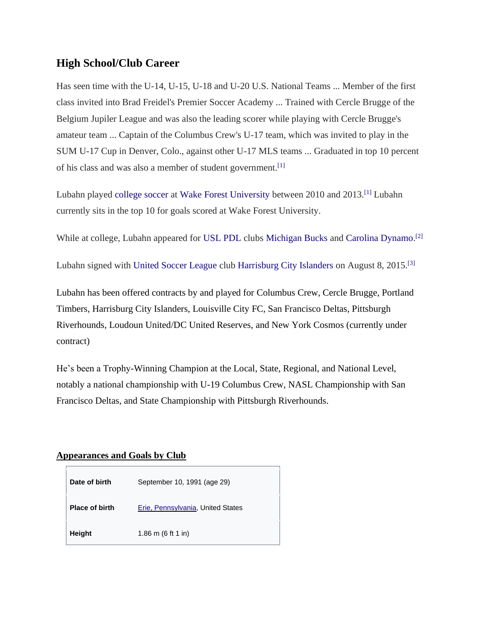# **High School/Club Career**

Has seen time with the U-14, U-15, U-18 and U-20 U.S. National Teams ... Member of the first class invited into Brad Freidel's Premier Soccer Academy ... Trained with Cercle Brugge of the Belgium Jupiler League and was also the leading scorer while playing with Cercle Brugge's amateur team ... Captain of the Columbus Crew's U-17 team, which was invited to play in the SUM U-17 Cup in Denver, Colo., against other U-17 MLS teams ... Graduated in top 10 percent of his class and was also a member of student government.[\[1\]](https://en.wikipedia.org/wiki/Andrew_Lubahn#cite_note-:0-1)

Lubahn played [college soccer](https://en.wikipedia.org/wiki/College_soccer) at [Wake Forest University](https://en.wikipedia.org/wiki/Wake_Forest_University) between 2010 and 2013.[\[1\]](https://en.wikipedia.org/wiki/Andrew_Lubahn#cite_note-:0-1) Lubahn currently sits in the top 10 for goals scored at Wake Forest University.

While at college, Lubahn appeared for [USL PDL](https://en.wikipedia.org/wiki/USL_PDL) clubs [Michigan Bucks](https://en.wikipedia.org/wiki/Michigan_Bucks) and [Carolina Dynamo.](https://en.wikipedia.org/wiki/Carolina_Dynamo)<sup>[\[2\]](https://en.wikipedia.org/wiki/Andrew_Lubahn#cite_note-2)</sup>

Lubahn signed with [United Soccer League](https://en.wikipedia.org/wiki/United_Soccer_League) club [Harrisburg City Islanders](https://en.wikipedia.org/wiki/Harrisburg_City_Islanders) on August 8, 2015.[\[3\]](https://en.wikipedia.org/wiki/Andrew_Lubahn#cite_note-3)

Lubahn has been offered contracts by and played for Columbus Crew, Cercle Brugge, Portland Timbers, Harrisburg City Islanders, Louisville City FC, San Francisco Deltas, Pittsburgh Riverhounds, Loudoun United/DC United Reserves, and New York Cosmos (currently under contract)

He's been a Trophy-Winning Champion at the Local, State, Regional, and National Level, notably a national championship with U-19 Columbus Crew, NASL Championship with San Francisco Deltas, and State Championship with Pittsburgh Riverhounds.

## **Appearances and Goals by Club**

| Date of birth         | September 10, 1991 (age 29)       |
|-----------------------|-----------------------------------|
| <b>Place of birth</b> | Erie, Pennsylvania, United States |
| <b>Height</b>         | 1.86 m $(6 ft 1 in)$              |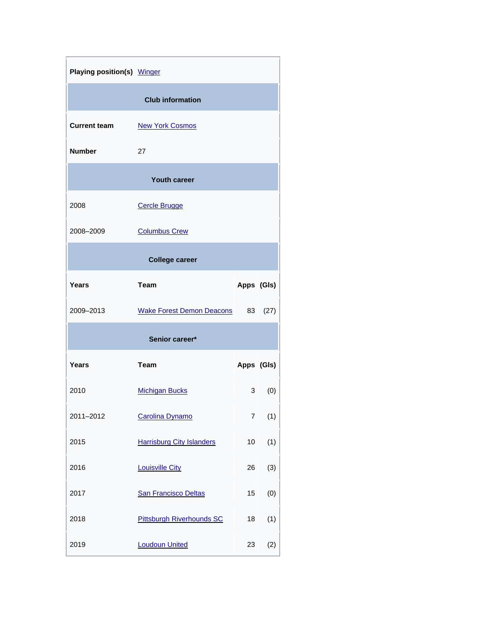| Playing position(s) Winger |                                  |            |          |  |  |  |
|----------------------------|----------------------------------|------------|----------|--|--|--|
| <b>Club information</b>    |                                  |            |          |  |  |  |
| <b>Current team</b>        | <b>New York Cosmos</b>           |            |          |  |  |  |
| <b>Number</b>              | 27                               |            |          |  |  |  |
| <b>Youth career</b>        |                                  |            |          |  |  |  |
| 2008                       | <b>Cercle Brugge</b>             |            |          |  |  |  |
| 2008-2009                  | <b>Columbus Crew</b>             |            |          |  |  |  |
| <b>College career</b>      |                                  |            |          |  |  |  |
| Years                      | Team                             | Apps (GIs) |          |  |  |  |
| 2009-2013                  | <b>Wake Forest Demon Deacons</b> | 83         | (27)     |  |  |  |
| Senior career*             |                                  |            |          |  |  |  |
| Years                      | <b>Team</b>                      | Apps (GIs) |          |  |  |  |
| 2010                       | <b>Michigan Bucks</b>            |            | 3<br>(0) |  |  |  |
| 2011-2012                  | Carolina Dynamo                  | 7          | (1)      |  |  |  |
| 2015                       | <b>Harrisburg City Islanders</b> | 10         | (1)      |  |  |  |
| 2016                       | <b>Louisville City</b>           | 26         | (3)      |  |  |  |
| 2017                       | <b>San Francisco Deltas</b>      | 15         | (0)      |  |  |  |
| 2018                       | <b>Pittsburgh Riverhounds SC</b> | 18         | (1)      |  |  |  |
| 2019                       | <b>Loudoun United</b>            | 23         | (2)      |  |  |  |